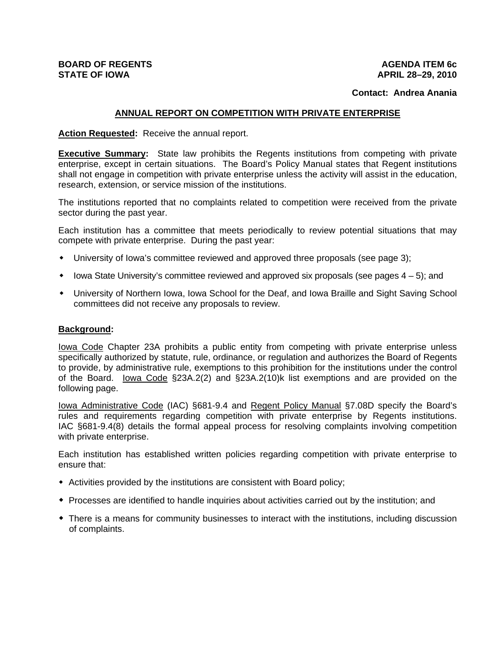# **BOARD OF REGENTS STATE OF IOWA**

### **AGENDA ITEM 6c APRIL 28–29, 2010**

## **Contact: Andrea Anania**

## **ANNUAL REPORT ON COMPETITION WITH PRIVATE ENTERPRISE**

## **Action Requested:** Receive the annual report.

**Executive Summary:** State law prohibits the Regents institutions from competing with private enterprise, except in certain situations. The Board's Policy Manual states that Regent institutions shall not engage in competition with private enterprise unless the activity will assist in the education, research, extension, or service mission of the institutions.

The institutions reported that no complaints related to competition were received from the private sector during the past year.

Each institution has a committee that meets periodically to review potential situations that may compete with private enterprise. During the past year:

- University of Iowa's committee reviewed and approved three proposals (see page 3);
- $\bullet$  lowa State University's committee reviewed and approved six proposals (see pages  $4-5$ ); and
- University of Northern Iowa, Iowa School for the Deaf, and Iowa Braille and Sight Saving School committees did not receive any proposals to review.

#### **Background:**

Iowa Code Chapter 23A prohibits a public entity from competing with private enterprise unless specifically authorized by statute, rule, ordinance, or regulation and authorizes the Board of Regents to provide, by administrative rule, exemptions to this prohibition for the institutions under the control of the Board. Iowa Code §23A.2(2) and §23A.2(10)k list exemptions and are provided on the following page.

Iowa Administrative Code (IAC) §681-9.4 and Regent Policy Manual §7.08D specify the Board's rules and requirements regarding competition with private enterprise by Regents institutions. IAC §681-9.4(8) details the formal appeal process for resolving complaints involving competition with private enterprise.

Each institution has established written policies regarding competition with private enterprise to ensure that:

- Activities provided by the institutions are consistent with Board policy;
- Processes are identified to handle inquiries about activities carried out by the institution; and
- There is a means for community businesses to interact with the institutions, including discussion of complaints.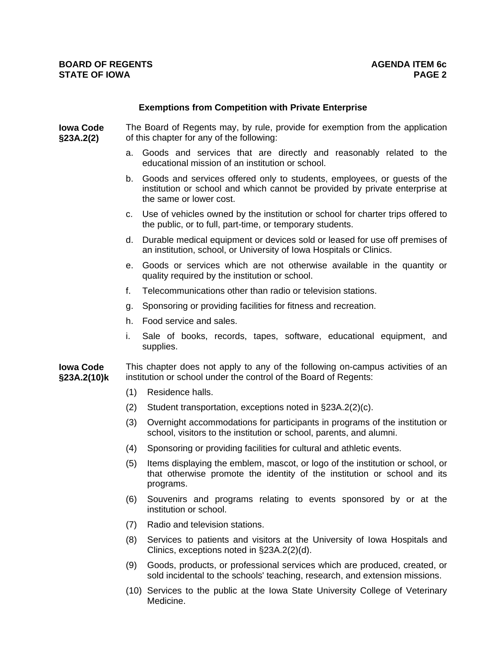# **Exemptions from Competition with Private Enterprise**

**Iowa Code §23A.2(2)** The Board of Regents may, by rule, provide for exemption from the application of this chapter for any of the following:

- a. Goods and services that are directly and reasonably related to the educational mission of an institution or school.
- b. Goods and services offered only to students, employees, or guests of the institution or school and which cannot be provided by private enterprise at the same or lower cost.
- c. Use of vehicles owned by the institution or school for charter trips offered to the public, or to full, part-time, or temporary students.
- d. Durable medical equipment or devices sold or leased for use off premises of an institution, school, or University of Iowa Hospitals or Clinics.
- e. Goods or services which are not otherwise available in the quantity or quality required by the institution or school.
- f. Telecommunications other than radio or television stations.
- g. Sponsoring or providing facilities for fitness and recreation.
- h. Food service and sales.
- i. Sale of books, records, tapes, software, educational equipment, and supplies.

**Iowa Code §23A.2(10)k**  This chapter does not apply to any of the following on-campus activities of an institution or school under the control of the Board of Regents:

- (1) Residence halls.
- (2) Student transportation, exceptions noted in §23A.2(2)(c).
- (3) Overnight accommodations for participants in programs of the institution or school, visitors to the institution or school, parents, and alumni.
- (4) Sponsoring or providing facilities for cultural and athletic events.
- (5) Items displaying the emblem, mascot, or logo of the institution or school, or that otherwise promote the identity of the institution or school and its programs.
- (6) Souvenirs and programs relating to events sponsored by or at the institution or school.
- (7) Radio and television stations.
- (8) Services to patients and visitors at the University of Iowa Hospitals and Clinics, exceptions noted in §23A.2(2)(d).
- (9) Goods, products, or professional services which are produced, created, or sold incidental to the schools' teaching, research, and extension missions.
- (10) Services to the public at the Iowa State University College of Veterinary Medicine.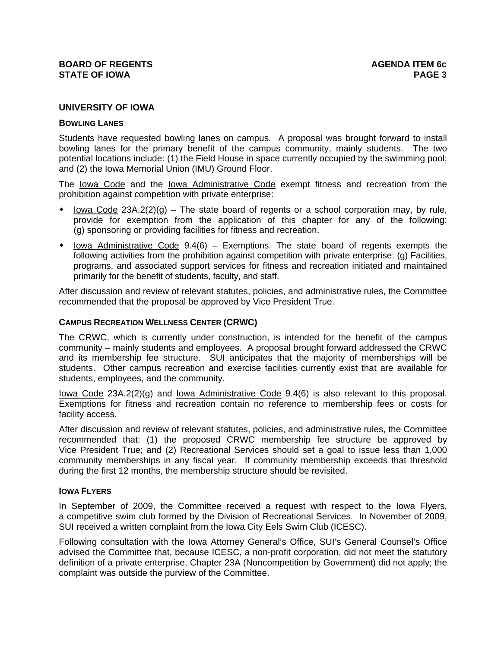# **UNIVERSITY OF IOWA**

#### **BOWLING LANES**

Students have requested bowling lanes on campus. A proposal was brought forward to install bowling lanes for the primary benefit of the campus community, mainly students. The two potential locations include: (1) the Field House in space currently occupied by the swimming pool; and (2) the Iowa Memorial Union (IMU) Ground Floor.

The lowa Code and the lowa Administrative Code exempt fitness and recreation from the prohibition against competition with private enterprise:

- lowa Code  $23A.2(2)(g)$  The state board of regents or a school corporation may, by rule, provide for exemption from the application of this chapter for any of the following: (g) sponsoring or providing facilities for fitness and recreation.
- $\bullet$  lowa Administrative Code 9.4(6) Exemptions. The state board of regents exempts the following activities from the prohibition against competition with private enterprise: (g) Facilities, programs, and associated support services for fitness and recreation initiated and maintained primarily for the benefit of students, faculty, and staff.

After discussion and review of relevant statutes, policies, and administrative rules, the Committee recommended that the proposal be approved by Vice President True.

### **CAMPUS RECREATION WELLNESS CENTER (CRWC)**

The CRWC, which is currently under construction, is intended for the benefit of the campus community – mainly students and employees. A proposal brought forward addressed the CRWC and its membership fee structure. SUI anticipates that the majority of memberships will be students. Other campus recreation and exercise facilities currently exist that are available for students, employees, and the community.

Iowa Code 23A.2(2)(g) and Iowa Administrative Code 9.4(6) is also relevant to this proposal. Exemptions for fitness and recreation contain no reference to membership fees or costs for facility access.

After discussion and review of relevant statutes, policies, and administrative rules, the Committee recommended that: (1) the proposed CRWC membership fee structure be approved by Vice President True; and (2) Recreational Services should set a goal to issue less than 1,000 community memberships in any fiscal year. If community membership exceeds that threshold during the first 12 months, the membership structure should be revisited.

## **IOWA FLYERS**

In September of 2009, the Committee received a request with respect to the Iowa Flyers, a competitive swim club formed by the Division of Recreational Services. In November of 2009, SUI received a written complaint from the Iowa City Eels Swim Club (ICESC).

Following consultation with the Iowa Attorney General's Office, SUI's General Counsel's Office advised the Committee that, because ICESC, a non-profit corporation, did not meet the statutory definition of a private enterprise, Chapter 23A (Noncompetition by Government) did not apply; the complaint was outside the purview of the Committee.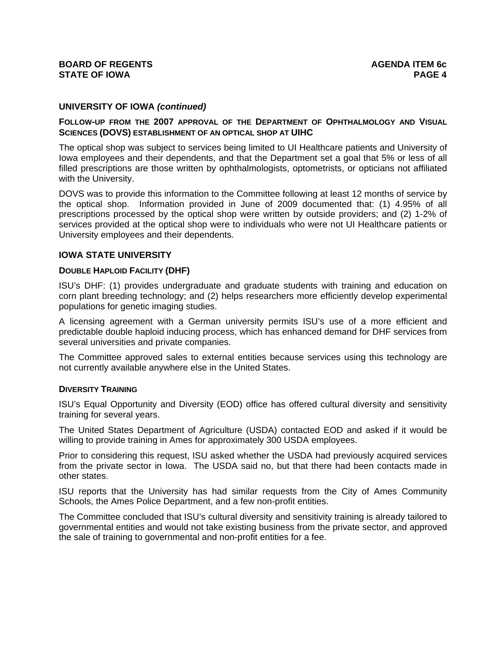# **UNIVERSITY OF IOWA** *(continued)*

# **FOLLOW-UP FROM THE 2007 APPROVAL OF THE DEPARTMENT OF OPHTHALMOLOGY AND VISUAL SCIENCES (DOVS) ESTABLISHMENT OF AN OPTICAL SHOP AT UIHC**

The optical shop was subject to services being limited to UI Healthcare patients and University of Iowa employees and their dependents, and that the Department set a goal that 5% or less of all filled prescriptions are those written by ophthalmologists, optometrists, or opticians not affiliated with the University.

DOVS was to provide this information to the Committee following at least 12 months of service by the optical shop. Information provided in June of 2009 documented that: (1) 4.95% of all prescriptions processed by the optical shop were written by outside providers; and (2) 1-2% of services provided at the optical shop were to individuals who were not UI Healthcare patients or University employees and their dependents.

## **IOWA STATE UNIVERSITY**

### **DOUBLE HAPLOID FACILITY (DHF)**

ISU's DHF: (1) provides undergraduate and graduate students with training and education on corn plant breeding technology; and (2) helps researchers more efficiently develop experimental populations for genetic imaging studies.

A licensing agreement with a German university permits ISU's use of a more efficient and predictable double haploid inducing process, which has enhanced demand for DHF services from several universities and private companies.

The Committee approved sales to external entities because services using this technology are not currently available anywhere else in the United States.

#### **DIVERSITY TRAINING**

ISU's Equal Opportunity and Diversity (EOD) office has offered cultural diversity and sensitivity training for several years.

The United States Department of Agriculture (USDA) contacted EOD and asked if it would be willing to provide training in Ames for approximately 300 USDA employees.

Prior to considering this request, ISU asked whether the USDA had previously acquired services from the private sector in Iowa. The USDA said no, but that there had been contacts made in other states.

ISU reports that the University has had similar requests from the City of Ames Community Schools, the Ames Police Department, and a few non-profit entities.

The Committee concluded that ISU's cultural diversity and sensitivity training is already tailored to governmental entities and would not take existing business from the private sector, and approved the sale of training to governmental and non-profit entities for a fee.